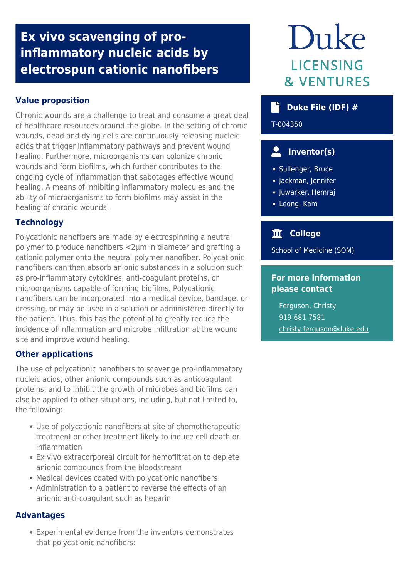# **Ex vivo scavenging of proinflammatory nucleic acids by electrospun cationic nanofibers**

# **Value proposition**

Chronic wounds are a challenge to treat and consume a great deal of healthcare resources around the globe. In the setting of chronic wounds, dead and dying cells are continuously releasing nucleic acids that trigger inflammatory pathways and prevent wound healing. Furthermore, microorganisms can colonize chronic wounds and form biofilms, which further contributes to the ongoing cycle of inflammation that sabotages effective wound healing. A means of inhibiting inflammatory molecules and the ability of microorganisms to form biofilms may assist in the healing of chronic wounds.

## **Technology**

Polycationic nanofibers are made by electrospinning a neutral polymer to produce nanofibers <2μm in diameter and grafting a cationic polymer onto the neutral polymer nanofiber. Polycationic nanofibers can then absorb anionic substances in a solution such as pro-inflammatory cytokines, anti-coagulant proteins, or microorganisms capable of forming biofilms. Polycationic nanofibers can be incorporated into a medical device, bandage, or dressing, or may be used in a solution or administered directly to the patient. Thus, this has the potential to greatly reduce the incidence of inflammation and microbe infiltration at the wound site and improve wound healing.

## **Other applications**

The use of polycationic nanofibers to scavenge pro-inflammatory nucleic acids, other anionic compounds such as anticoagulant proteins, and to inhibit the growth of microbes and biofilms can also be applied to other situations, including, but not limited to, the following:

- Use of polycationic nanofibers at site of chemotherapeutic treatment or other treatment likely to induce cell death or inflammation
- Ex vivo extracorporeal circuit for hemofiltration to deplete anionic compounds from the bloodstream
- Medical devices coated with polycationic nanofibers
- Administration to a patient to reverse the effects of an anionic anti-coagulant such as heparin

#### **Advantages**

Experimental evidence from the inventors demonstrates that polycationic nanofibers:

# Duke **LICENSING & VENTURES**

# **Duke File (IDF) #**

T-004350

# **Inventor(s)**

- Sullenger, Bruce
- Jackman, Jennifer
- Juwarker, Hemraj
- Leong, Kam

# **College**

School of Medicine (SOM)

#### **For more information please contact**

Ferguson, Christy 919-681-7581 [christy.ferguson@duke.edu](mailto:christy.ferguson@duke.edu)